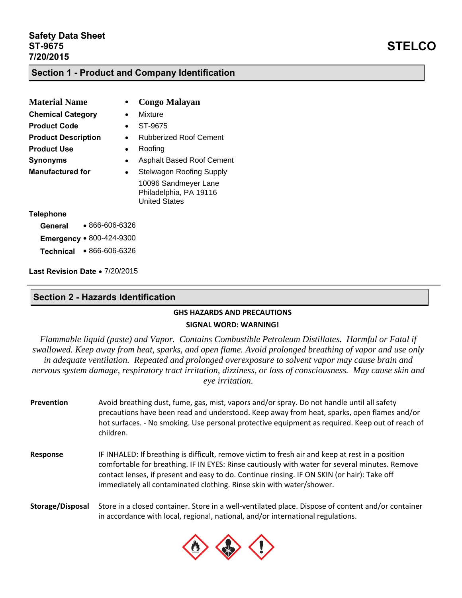#### **Section 1 - Product and Company Identification**

| <b>Material Name</b>              |           | <b>Congo Malayan</b>                                                   |
|-----------------------------------|-----------|------------------------------------------------------------------------|
| <b>Chemical Category</b>          |           | Mixture                                                                |
| <b>Product Code</b>               |           | ST-9675                                                                |
| <b>Product Description</b>        |           | Rubberized Roof Cement                                                 |
| <b>Product Use</b>                | $\bullet$ | Roofing                                                                |
| <b>Synonyms</b>                   | ٠         | <b>Asphalt Based Roof Cement</b>                                       |
| <b>Manufactured for</b>           |           | <b>Stelwagon Roofing Supply</b>                                        |
|                                   |           | 10096 Sandmeyer Lane<br>Philadelphia, PA 19116<br><b>United States</b> |
| <b>Telephone</b>                  |           |                                                                        |
| $\bullet$ 866-606-6326<br>General |           |                                                                        |
| Emergency • 800-424-9300          |           |                                                                        |

**Technical** 866-606-6326

Last Revision Date · 7/20/2015

#### **Section 2 - Hazards Identification**

# **GHS HAZARDS AND PRECAUTIONS**

#### **SIGNAL WORD: WARNING!**

*Flammable liquid (paste) and Vapor. Contains Combustible Petroleum Distillates. Harmful or Fatal if swallowed. Keep away from heat, sparks, and open flame. Avoid prolonged breathing of vapor and use only in adequate ventilation. Repeated and prolonged overexposure to solvent vapor may cause brain and nervous system damage, respiratory tract irritation, dizziness, or loss of consciousness. May cause skin and eye irritation.*

- **Prevention** Avoid breathing dust, fume, gas, mist, vapors and/or spray. Do not handle until all safety precautions have been read and understood. Keep away from heat, sparks, open flames and/or hot surfaces. - No smoking. Use personal protective equipment as required. Keep out of reach of children.
- **Response** IF INHALED: If breathing is difficult, remove victim to fresh air and keep at rest in a position comfortable for breathing. IF IN EYES: Rinse cautiously with water for several minutes. Remove contact lenses, if present and easy to do. Continue rinsing. IF ON SKIN (or hair): Take off immediately all contaminated clothing. Rinse skin with water/shower.

**Storage/Disposal** Store in a closed container. Store in a well‐ventilated place. Dispose of content and/or container in accordance with local, regional, national, and/or international regulations.

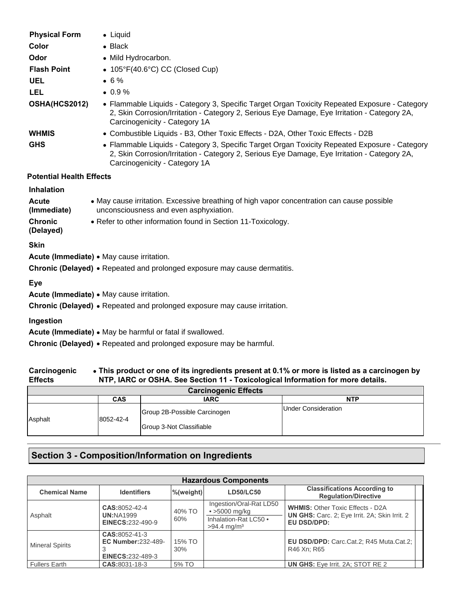| <b>Physical Form</b>            | • Liquid                                                                                                                                                                                                                       |
|---------------------------------|--------------------------------------------------------------------------------------------------------------------------------------------------------------------------------------------------------------------------------|
| Color                           | $\bullet$ Black                                                                                                                                                                                                                |
| Odor                            | • Mild Hydrocarbon.                                                                                                                                                                                                            |
| <b>Flash Point</b>              | $\bullet$ 105°F(40.6°C) CC (Closed Cup)                                                                                                                                                                                        |
| <b>UEL</b>                      | $• 6\%$                                                                                                                                                                                                                        |
| <b>LEL</b>                      | $\bullet$ 0.9%                                                                                                                                                                                                                 |
| OSHA(HCS2012)                   | • Flammable Liquids - Category 3, Specific Target Organ Toxicity Repeated Exposure - Category<br>2, Skin Corrosion/Irritation - Category 2, Serious Eye Damage, Eye Irritation - Category 2A,<br>Carcinogenicity - Category 1A |
| <b>WHMIS</b>                    | • Combustible Liquids - B3, Other Toxic Effects - D2A, Other Toxic Effects - D2B                                                                                                                                               |
| <b>GHS</b>                      | • Flammable Liquids - Category 3, Specific Target Organ Toxicity Repeated Exposure - Category<br>2, Skin Corrosion/Irritation - Category 2, Serious Eye Damage, Eye Irritation - Category 2A,<br>Carcinogenicity - Category 1A |
| <b>Potential Health Effects</b> |                                                                                                                                                                                                                                |
| <b>Inhalation</b>               |                                                                                                                                                                                                                                |
| <b>Acute</b><br>(Immediate)     | • May cause irritation. Excessive breathing of high vapor concentration can cause possible<br>unconsciousness and even asphyxiation.                                                                                           |
| <b>Chronic</b><br>(Delayed)     | • Refer to other information found in Section 11-Toxicology.                                                                                                                                                                   |
| <b>Skin</b>                     |                                                                                                                                                                                                                                |
|                                 | Acute (Immediate) . May cause irritation.                                                                                                                                                                                      |
|                                 | Chronic (Delayed) • Repeated and prolonged exposure may cause dermatitis.                                                                                                                                                      |
| Eye                             | Acute (Immediate) . May cause irritation.                                                                                                                                                                                      |
|                                 | Chronic (Delayed) • Repeated and prolonged exposure may cause irritation.                                                                                                                                                      |
| Ingestion                       |                                                                                                                                                                                                                                |
|                                 | Acute (Immediate) . May be harmful or fatal if swallowed.                                                                                                                                                                      |
|                                 | Chronic (Delayed) • Repeated and prolonged exposure may be harmful.                                                                                                                                                            |
|                                 | Carcinogenic Let This product or one of its ingredients present at 0.1% or more is listed as a carcinogen by                                                                                                                   |

| Carcinogenic   | • This product or one of its ingredients present at 0.1% or more is listed as a carcinogen by |
|----------------|-----------------------------------------------------------------------------------------------|
| <b>Effects</b> | NTP, IARC or OSHA. See Section 11 - Toxicological Information for more details.               |

| <b>Carcinogenic Effects</b> |            |                              |                            |
|-----------------------------|------------|------------------------------|----------------------------|
|                             | <b>CAS</b> | <b>IARC</b>                  | <b>NTP</b>                 |
| Asphalt                     | 8052-42-4  | Group 2B-Possible Carcinogen | <b>Under Consideration</b> |
|                             |            | Group 3-Not Classifiable     |                            |

# **Section 3 - Composition/Information on Ingredients**

| <b>Hazardous Components</b> |                                                                       |               |                                                                                                      |                                                                                                                |
|-----------------------------|-----------------------------------------------------------------------|---------------|------------------------------------------------------------------------------------------------------|----------------------------------------------------------------------------------------------------------------|
| <b>Chemical Name</b>        | <b>Identifiers</b>                                                    | %(weight)     | <b>LD50/LC50</b>                                                                                     | <b>Classifications According to</b><br><b>Regulation/Directive</b>                                             |
| Asphalt                     | CAS:8052-42-4<br><b>UN:NA1999</b><br><b>EINECS:232-490-9</b>          | 40% TO<br>60% | Ingestion/Oral-Rat LD50<br>$\cdot$ >5000 mg/kg<br>Inhalation-Rat LC50 .<br>$>94.4$ mg/m <sup>3</sup> | <b>WHMIS: Other Toxic Effects - D2A</b><br><b>UN GHS:</b> Carc. 2; Eye Irrit. 2A; Skin Irrit. 2<br>EU DSD/DPD: |
| <b>Mineral Spirits</b>      | CAS:8052-41-3<br><b>EC Number:232-489-</b><br><b>EINECS:232-489-3</b> | 15% TO<br>30% |                                                                                                      | EU DSD/DPD: Carc.Cat.2; R45 Muta.Cat.2;<br>R46 Xn; R65                                                         |
| <b>Fullers Earth</b>        | CAS:8031-18-3                                                         | 5% TO         |                                                                                                      | <b>UN GHS:</b> Eye Irrit. 2A: STOT RE 2                                                                        |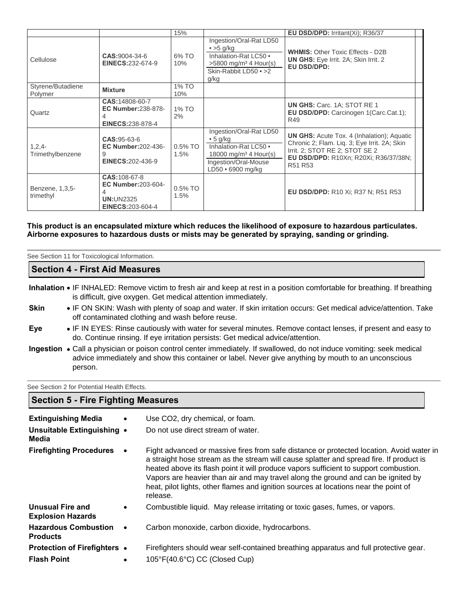|                              |                                                                                                   | 15%                |                                                                                                                                                | EU DSD/DPD: Irritant(Xi); R36/37                                                                                                                                                                                       |
|------------------------------|---------------------------------------------------------------------------------------------------|--------------------|------------------------------------------------------------------------------------------------------------------------------------------------|------------------------------------------------------------------------------------------------------------------------------------------------------------------------------------------------------------------------|
| Cellulose                    | CAS:9004-34-6<br><b>EINECS:232-674-9</b>                                                          | 6% TO<br>10%       | Ingestion/Oral-Rat LD50<br>$\bullet$ >5 g/kg<br>Inhalation-Rat LC50 •<br>$>5800$ mg/m <sup>3</sup> 4 Hour(s)<br>Skin-Rabbit LD50 • >2<br>g/kg  | <b>WHMIS: Other Toxic Effects - D2B</b><br>UN GHS: Eye Irrit. 2A; Skin Irrit. 2<br>EU DSD/DPD:                                                                                                                         |
| Styrene/Butadiene<br>Polymer | <b>Mixture</b>                                                                                    | 1% TO<br>10%       |                                                                                                                                                |                                                                                                                                                                                                                        |
| Quartz                       | CAS:14808-60-7<br><b>EC Number:238-878-</b><br>4<br><b>EINECS:238-878-4</b>                       | 1% TO<br>2%        |                                                                                                                                                | <b>UN GHS: Carc. 1A: STOT RE 1</b><br>EU DSD/DPD: Carcinogen 1(Carc.Cat.1);<br>R49                                                                                                                                     |
| $1,2,4-$<br>Trimethylbenzene | $CAS:95-63-6$<br><b>EC Number: 202-436-</b><br>9<br><b>EINECS:202-436-9</b>                       | $0.5\%$ TO<br>1.5% | Ingestion/Oral-Rat LD50<br>• 5 g/kg<br>Inhalation-Rat LC50 •<br>18000 mg/m <sup>3</sup> 4 Hour(s)<br>Ingestion/Oral-Mouse<br>LD50 · 6900 mg/kg | <b>UN GHS:</b> Acute Tox. 4 (Inhalation); Aquatic<br>Chronic 2; Flam. Liq. 3; Eye Irrit. 2A; Skin<br>Irrit. 2; STOT RE 2; STOT SE 2<br><b>EU DSD/DPD: R10Xn: R20Xi: R36/37/38N:</b><br>R <sub>51</sub> R <sub>53</sub> |
| Benzene, 1,3,5-<br>trimethyl | <b>CAS: 108-67-8</b><br><b>EC Number: 203-604-</b><br><b>UN:UN2325</b><br><b>EINECS:203-604-4</b> | $0.5\%$ TO<br>1.5% |                                                                                                                                                | <b>EU DSD/DPD: R10 Xi; R37 N; R51 R53</b>                                                                                                                                                                              |

#### **This product is an encapsulated mixture which reduces the likelihood of exposure to hazardous particulates. Airborne exposures to hazardous dusts or mists may be generated by spraying, sanding or grinding.**

|             | See Section 11 for Toxicological Information.                                                                                                                                               |
|-------------|---------------------------------------------------------------------------------------------------------------------------------------------------------------------------------------------|
|             | <b>Section 4 - First Aid Measures</b>                                                                                                                                                       |
|             | Inhalation • IF INHALED: Remove victim to fresh air and keep at rest in a position comfortable for breathing. If breathing<br>is difficult, give oxygen. Get medical attention immediately. |
| <b>Skin</b> | • IF ON SKIN: Wash with plenty of soap and water. If skin irritation occurs: Get medical advice/attention. Take<br>off contaminated clothing and wash before reuse.                         |

- **Eye IF IN EYES: Rinse cautiously with water for several minutes. Remove contact lenses, if present and easy to** do. Continue rinsing. If eye irritation persists: Get medical advice/attention.
- Ingestion . Call a physician or poison control center immediately. If swallowed, do not induce vomiting: seek medical advice immediately and show this container or label. Never give anything by mouth to an unconscious person.

See Section 2 for Potential Health Effects.

## **Section 5 - Fire Fighting Measures**

| <b>Extinguishing Media</b>                     | $\bullet$ | Use CO2, dry chemical, or foam.                                                                                                                                                                                                                                                                                                                                                                                                                                       |
|------------------------------------------------|-----------|-----------------------------------------------------------------------------------------------------------------------------------------------------------------------------------------------------------------------------------------------------------------------------------------------------------------------------------------------------------------------------------------------------------------------------------------------------------------------|
| Unsuitable Extinguishing •<br>Media            |           | Do not use direct stream of water.                                                                                                                                                                                                                                                                                                                                                                                                                                    |
| <b>Firefighting Procedures</b>                 |           | Fight advanced or massive fires from safe distance or protected location. Avoid water in<br>a straight hose stream as the stream will cause splatter and spread fire. If product is<br>heated above its flash point it will produce vapors sufficient to support combustion.<br>Vapors are heavier than air and may travel along the ground and can be ignited by<br>heat, pilot lights, other flames and ignition sources at locations near the point of<br>release. |
| Unusual Fire and<br><b>Explosion Hazards</b>   | $\bullet$ | Combustible liquid. May release irritating or toxic gases, fumes, or vapors.                                                                                                                                                                                                                                                                                                                                                                                          |
| <b>Hazardous Combustion</b><br><b>Products</b> | $\bullet$ | Carbon monoxide, carbon dioxide, hydrocarbons.                                                                                                                                                                                                                                                                                                                                                                                                                        |
| <b>Protection of Firefighters •</b>            |           | Firefighters should wear self-contained breathing apparatus and full protective gear.                                                                                                                                                                                                                                                                                                                                                                                 |
| <b>Flash Point</b>                             | $\bullet$ | 105°F(40.6°C) CC (Closed Cup)                                                                                                                                                                                                                                                                                                                                                                                                                                         |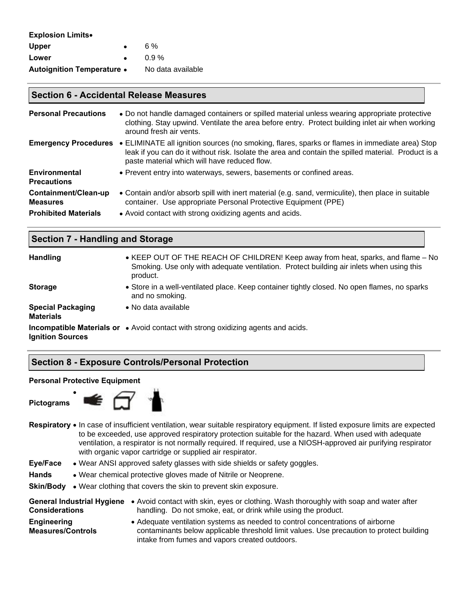| <b>Explosion Limits.</b>          |                   |
|-----------------------------------|-------------------|
| <b>Upper</b>                      | 6%                |
| Lower                             | $0.9\%$           |
| <b>Autoignition Temperature •</b> | No data available |

#### **Section 6 - Accidental Release Measures**

| <b>Personal Precautions</b>                | • Do not handle damaged containers or spilled material unless wearing appropriate protective<br>clothing. Stay upwind. Ventilate the area before entry. Protect building inlet air when working<br>around fresh air vents.                            |
|--------------------------------------------|-------------------------------------------------------------------------------------------------------------------------------------------------------------------------------------------------------------------------------------------------------|
| <b>Emergency Procedures</b>                | • ELIMINATE all ignition sources (no smoking, flares, sparks or flames in immediate area) Stop<br>leak if you can do it without risk. Isolate the area and contain the spilled material. Product is a<br>paste material which will have reduced flow. |
| <b>Environmental</b><br><b>Precautions</b> | • Prevent entry into waterways, sewers, basements or confined areas.                                                                                                                                                                                  |
| Containment/Clean-up<br><b>Measures</b>    | • Contain and/or absorb spill with inert material (e.g. sand, vermiculite), then place in suitable<br>container. Use appropriate Personal Protective Equipment (PPE)                                                                                  |
| <b>Prohibited Materials</b>                | • Avoid contact with strong oxidizing agents and acids.                                                                                                                                                                                               |

| <b>Section 7 - Handling and Storage</b>      |                                                                                                                                                                                          |  |
|----------------------------------------------|------------------------------------------------------------------------------------------------------------------------------------------------------------------------------------------|--|
| <b>Handling</b>                              | • KEEP OUT OF THE REACH OF CHILDREN! Keep away from heat, sparks, and flame – No<br>Smoking. Use only with adequate ventilation. Protect building air inlets when using this<br>product. |  |
| <b>Storage</b>                               | • Store in a well-ventilated place. Keep container tightly closed. No open flames, no sparks<br>and no smoking.                                                                          |  |
| <b>Special Packaging</b><br><b>Materials</b> | • No data available                                                                                                                                                                      |  |
| <b>Ignition Sources</b>                      | <b>Incompatible Materials or •</b> Avoid contact with strong oxidizing agents and acids.                                                                                                 |  |

## **Section 8 - Exposure Controls/Personal Protection**

#### **Personal Protective Equipment**

 $\bullet$ 

**Pictograms** 



- Respiratory In case of insufficient ventilation, wear suitable respiratory equipment. If listed exposure limits are expected to be exceeded, use approved respiratory protection suitable for the hazard. When used with adequate ventilation, a respirator is not normally required. If required, use a NIOSH-approved air purifying respirator with organic vapor cartridge or supplied air respirator.
- **Eye/Face**  Wear ANSI approved safety glasses with side shields or safety goggles.
- Hands Wear chemical protective gloves made of Nitrile or Neoprene.
- **Skin/Body** . Wear clothing that covers the skin to prevent skin exposure.

| <b>General Industrial Hygiene</b>       | • Avoid contact with skin, eyes or clothing. Wash thoroughly with soap and water after                                                                                                                                       |
|-----------------------------------------|------------------------------------------------------------------------------------------------------------------------------------------------------------------------------------------------------------------------------|
| <b>Considerations</b>                   | handling. Do not smoke, eat, or drink while using the product.                                                                                                                                                               |
| Engineering<br><b>Measures/Controls</b> | • Adequate ventilation systems as needed to control concentrations of airborne<br>contaminants below applicable threshold limit values. Use precaution to protect building<br>intake from fumes and vapors created outdoors. |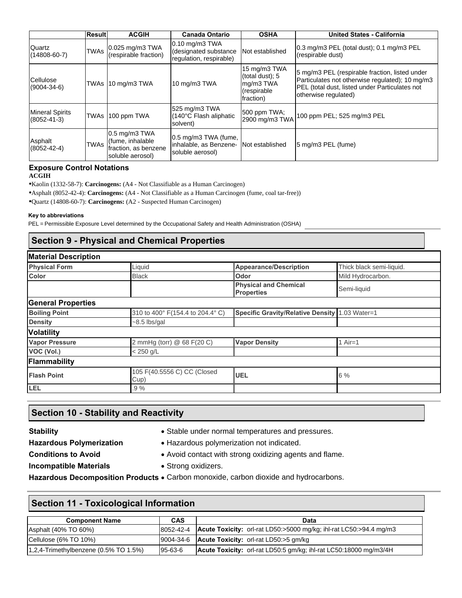|                                             | <b>Result</b> | <b>ACGIH</b>                                                                    | <b>Canada Ontario</b>                                                | <b>OSHA</b>                                                              | <b>United States - California</b>                                                                                                                                           |
|---------------------------------------------|---------------|---------------------------------------------------------------------------------|----------------------------------------------------------------------|--------------------------------------------------------------------------|-----------------------------------------------------------------------------------------------------------------------------------------------------------------------------|
| Quartz<br>$(14808 - 60 - 7)$                | <b>TWAs</b>   | 0.025 mg/m3 TWA<br>(respirable fraction)                                        | $0.10$ mg/m3 TWA<br>(designated substance<br>regulation, respirable) | Not established                                                          | $ 0.3 \text{ mg/m}$ PEL (total dust); 0.1 mg/m $3$ PEL<br>(respirable dust)                                                                                                 |
| Cellulose<br>$(9004 - 34 - 6)$              | <b>TWAs</b>   | 10 mg/m3 TWA                                                                    | 10 mg/m3 TWA                                                         | 15 mg/m3 TWA<br>(total dust); 5<br>mg/m3 TWA<br>(respirable<br>fraction) | 5 mg/m3 PEL (respirable fraction, listed under<br>Particulates not otherwise regulated); 10 mg/m3<br>PEL (total dust, listed under Particulates not<br>otherwise regulated) |
| <b>Mineral Spirits</b><br>$(8052 - 41 - 3)$ | <b>TWAs</b>   | 100 ppm TWA                                                                     | 525 mg/m3 TWA<br>(140°C Flash aliphatic<br>solvent)                  | 500 ppm TWA;<br>2900 mg/m3 TWA                                           | 100 ppm PEL; 525 mg/m3 PEL                                                                                                                                                  |
| Asphalt<br>$(8052 - 42 - 4)$                | <b>TWAs</b>   | $0.5$ mg/m3 TWA<br>(fume, inhalable<br>fraction, as benzene<br>soluble aerosol) | 0.5 mg/m3 TWA (fume,<br>inhalable, as Benzene-<br>soluble aerosol)   | INot established                                                         | 5 mg/m3 PEL (fume)                                                                                                                                                          |

# **Exposure Control Notations**

#### **ACGIH**

•Kaolin (1332-58-7): **Carcinogens:** (A4 - Not Classifiable as a Human Carcinogen)

•Asphalt (8052-42-4): **Carcinogens:** (A4 - Not Classifiable as a Human Carcinogen (fume, coal tar-free))

•Quartz (14808-60-7): **Carcinogens:** (A2 - Suspected Human Carcinogen)

#### **Key to abbreviations**

PEL = Permissible Exposure Level determined by the Occupational Safety and Health Administration (OSHA)

# **Section 9 - Physical and Chemical Properties**

| <b>Material Description</b> |                                     |                                                   |                          |
|-----------------------------|-------------------------------------|---------------------------------------------------|--------------------------|
| <b>Physical Form</b>        | Liquid                              | <b>Appearance/Description</b>                     | Thick black semi-liquid. |
| <b>Color</b>                | <b>Black</b>                        | Odor                                              | Mild Hydrocarbon.        |
|                             |                                     | <b>Physical and Chemical</b><br><b>Properties</b> | Semi-liquid              |
| <b>General Properties</b>   |                                     |                                                   |                          |
| <b>Boiling Point</b>        | 310 to 400° F(154.4 to 204.4° C)    | Specific Gravity/Relative Density 1.03 Water=1    |                          |
| <b>Density</b>              | $~5$ lbs/gal                        |                                                   |                          |
| <b>Volatility</b>           |                                     |                                                   |                          |
| <b>Vapor Pressure</b>       | 2 mmHg (torr) @ 68 F(20 C)          | <b>Vapor Density</b>                              | $Air=1$                  |
| VOC (Vol.)                  | $< 250$ g/L                         |                                                   |                          |
| Flammability                |                                     |                                                   |                          |
| <b>Flash Point</b>          | 105 F(40.5556 C) CC (Closed<br>Cup) | <b>UEL</b>                                        | 6%                       |
| <b>LEL</b>                  | $.9\%$                              |                                                   |                          |

#### **Section 10 - Stability and Reactivity**

- **Stability Stable under normal temperatures and pressures.**
- 
- Hazardous Polymerization <br> **Mazardous Polymerization**<br> **Mazardous Polymerization**<br> **Mazardous Polymerization**
- **Conditions to Avoid Avoid contact with strong oxidizing agents and flame.**
- 
- 
- **Incompatible Materials Strong oxidizers.**

Hazardous Decomposition Products . Carbon monoxide, carbon dioxide and hydrocarbons.

## **Section 11 - Toxicological Information**

| <b>Component Name</b>                     | <b>CAS</b>    | Data                                                                      |
|-------------------------------------------|---------------|---------------------------------------------------------------------------|
| Asphalt (40% TO 60%)                      | 8052-42-4     | <b>Acute Toxicity:</b> orl-rat LD50:>5000 mg/kg; ihl-rat LC50:>94.4 mg/m3 |
| Cellulose (6% TO 10%)                     |               | $ 9004-34-6 $ <b>Acute Toxicity:</b> orl-rat LD50:>5 gm/kg                |
| $(1,2,4$ -Trimethylbenzene (0.5% TO 1.5%) | $95 - 63 - 6$ | <b>Acute Toxicity:</b> orl-rat LD50:5 gm/kg; ihl-rat LC50:18000 mg/m3/4H  |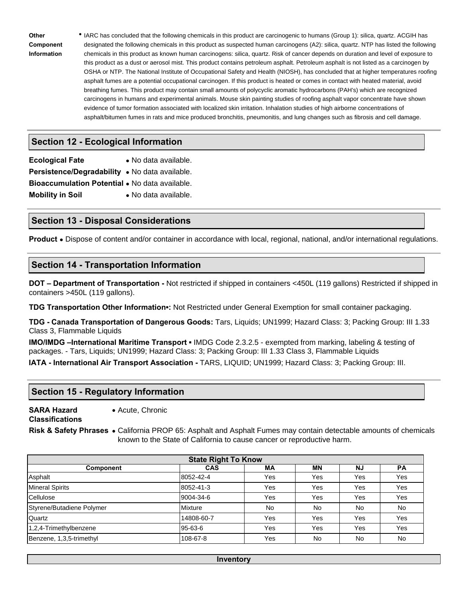**Other Component Information** 

 IARC has concluded that the following chemicals in this product are carcinogenic to humans (Group 1): silica, quartz. ACGIH has designated the following chemicals in this product as suspected human carcinogens (A2): silica, quartz. NTP has listed the following chemicals in this product as known human carcinogens: silica, quartz. Risk of cancer depends on duration and level of exposure to this product as a dust or aerosol mist. This product contains petroleum asphalt. Petroleum asphalt is not listed as a carcinogen by OSHA or NTP. The National Institute of Occupational Safety and Health (NIOSH), has concluded that at higher temperatures roofing asphalt fumes are a potential occupational carcinogen. If this product is heated or comes in contact with heated material, avoid breathing fumes. This product may contain small amounts of polycyclic aromatic hydrocarbons (PAH's) which are recognized carcinogens in humans and experimental animals. Mouse skin painting studies of roofing asphalt vapor concentrate have shown evidence of tumor formation associated with localized skin irritation. Inhalation studies of high airborne concentrations of asphalt/bitumen fumes in rats and mice produced bronchitis, pneumonitis, and lung changes such as fibrosis and cell damage.

# **Section 12 - Ecological Information**

| <b>Ecological Fate</b>                                | • No data available. |
|-------------------------------------------------------|----------------------|
| Persistence/Degradability . No data available.        |                      |
| <b>Bioaccumulation Potential • No data available.</b> |                      |
| <b>Mobility in Soil</b>                               | • No data available. |

## **Section 13 - Disposal Considerations**

**Product** • Dispose of content and/or container in accordance with local, regional, national, and/or international regulations.

## **Section 14 - Transportation Information**

**DOT – Department of Transportation -** Not restricted if shipped in containers <450L (119 gallons) Restricted if shipped in containers >450L (119 gallons).

**TDG Transportation Other Information▪:** Not Restricted under General Exemption for small container packaging.

**TDG - Canada Transportation of Dangerous Goods:** Tars, Liquids; UN1999; Hazard Class: 3; Packing Group: III 1.33 Class 3, Flammable Liquids

**IMO/IMDG** –International Maritime Transport **•** IMDG Code 2.3.2.5 - exempted from marking, labeling & testing of packages. - Tars, Liquids; UN1999; Hazard Class: 3; Packing Group: III 1.33 Class 3, Flammable Liquids **IATA - International Air Transport Association -** TARS, LIQUID; UN1999; Hazard Class: 3; Packing Group: III.

## **Section 15 - Regulatory Information**

**SARA Hazard Classifications**  Acute, Chronic

**Risk & Safety Phrases**  California PROP 65: Asphalt and Asphalt Fumes may contain detectable amounts of chemicals known to the State of California to cause cancer or reproductive harm.

| <b>State Right To Know</b>                                    |            |     |            |     |     |  |  |  |
|---------------------------------------------------------------|------------|-----|------------|-----|-----|--|--|--|
| <b>CAS</b><br>МA<br>ΜN<br><b>NJ</b><br><b>PA</b><br>Component |            |     |            |     |     |  |  |  |
| Asphalt                                                       | 8052-42-4  | Yes | Yes        | Yes | Yes |  |  |  |
| <b>Mineral Spirits</b>                                        | 8052-41-3  | Yes | <b>Yes</b> | Yes | Yes |  |  |  |
| Cellulose                                                     | 9004-34-6  | Yes | Yes        | Yes | Yes |  |  |  |
| Styrene/Butadiene Polymer                                     | Mixture    | No. | <b>No</b>  | No  | No  |  |  |  |
| Quartz                                                        | 14808-60-7 | Yes | Yes        | Yes | Yes |  |  |  |
| 1,2,4-Trimethylbenzene                                        | 95-63-6    | Yes | Yes        | Yes | Yes |  |  |  |
| Benzene, 1,3,5-trimethyl                                      | 108-67-8   | Yes | No         | No  | No  |  |  |  |